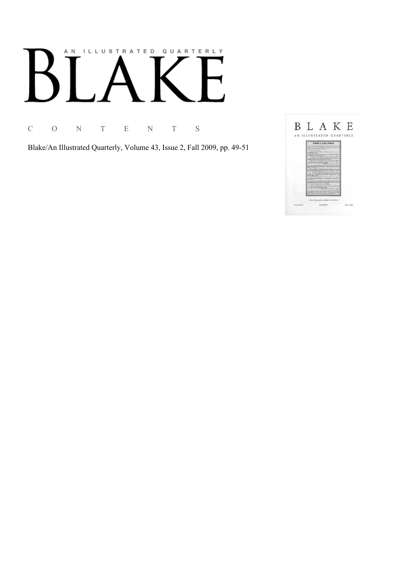# AN ILLUSTRATED QUARTERLY

C O N T E N T S

Blake/An Illustrated Quarterly, Volume 43, Issue 2, Fall 2009, pp. 49-51

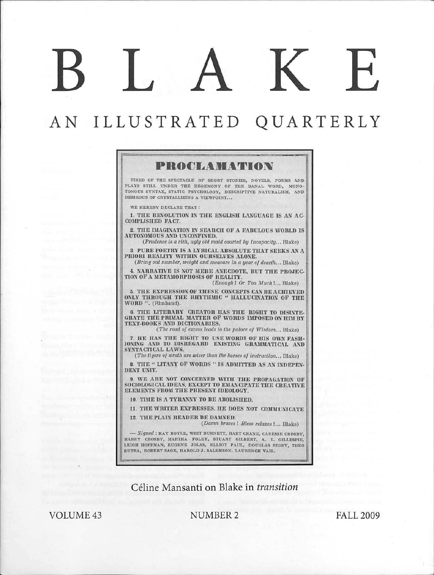# BLAKE

# AN ILLUSTRATED QUARTERLY



VOLUME<sub>43</sub>

### NUMBER2 FALL 2009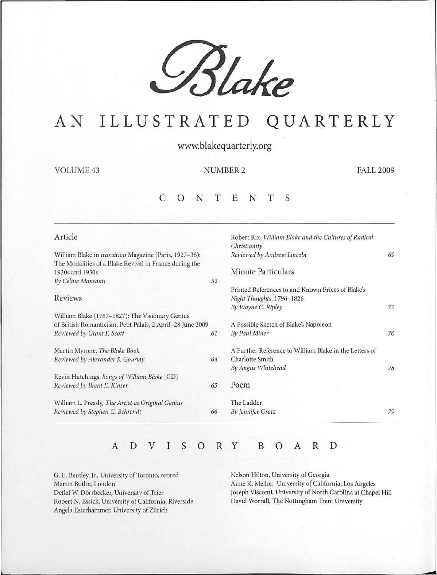

# AN ILLUSTRATED QUARTERLY

www.blakequarterly.org

VOLUME 43 NUMBER 2 FALL 2009

### c 0 N T E N T S

| Article                                                    |    | Robert Rix, William Blake and the Cultures of Radical<br>Christianity |    |  |  |  |  |  |
|------------------------------------------------------------|----|-----------------------------------------------------------------------|----|--|--|--|--|--|
| William Blake in transition Magazine (Paris, 1927-38):     |    | Reviewed by Andrew Lincoln                                            | 69 |  |  |  |  |  |
| The Modalities of a Blake Revival in France during the     |    |                                                                       |    |  |  |  |  |  |
| 1920s and 1930s                                            |    | Minute Particulars                                                    |    |  |  |  |  |  |
| By Céline Mansanti                                         | 52 |                                                                       |    |  |  |  |  |  |
|                                                            |    | Printed References to and Known Prices of Blake's                     |    |  |  |  |  |  |
| <b>Reviews</b>                                             |    | Night Thoughts, 1796-1826                                             |    |  |  |  |  |  |
|                                                            |    | By Wayne C. Ripley                                                    | 72 |  |  |  |  |  |
| William Blake (1757-1827): The Visionary Genius            |    |                                                                       |    |  |  |  |  |  |
| of British Romanticism. Petit Palais, 2 April-28 June 2009 |    | A Possible Sketch of Blake's Napoleon                                 |    |  |  |  |  |  |
| Reviewed by Grant F. Scott                                 | 61 | By Paul Miner                                                         | 76 |  |  |  |  |  |
| Martin Myrone, The Blake Book                              |    | A Further Reference to William Blake in the Letters of                |    |  |  |  |  |  |
| Reviewed by Alexander S. Gourlay                           | 64 | Charlotte Smith                                                       |    |  |  |  |  |  |
|                                                            |    | By Angus Whitehead                                                    | 78 |  |  |  |  |  |
| Kevin Hutchings, Songs of William Blake [CD]               |    |                                                                       |    |  |  |  |  |  |
| Reviewed by Brent E. Kinser                                | 65 | Poem                                                                  |    |  |  |  |  |  |
| William L. Pressly, The Artist as Original Genius          |    | The Ladder                                                            |    |  |  |  |  |  |
| Reviewed by Stephen C. Behrendt                            | 66 | By Jennifer Grotz                                                     | 79 |  |  |  |  |  |

## <sup>A</sup>D v I s 0 R y B 0 A R D

G. E. Bentley, Jr., University of Toronto, retired Martin Budin, London Detlef W. Dörrbecker, University of Trier Robert N. Essick, University of California, Riverside Angela Esterhammer, University of Zürich

Nelson Hilton, University of Georgia Anne K. Mellor, University of California, Los Angeles Joseph Viscomi, University of North Carolina at Chapel Hill David Worrall, The Nottingham Trent University